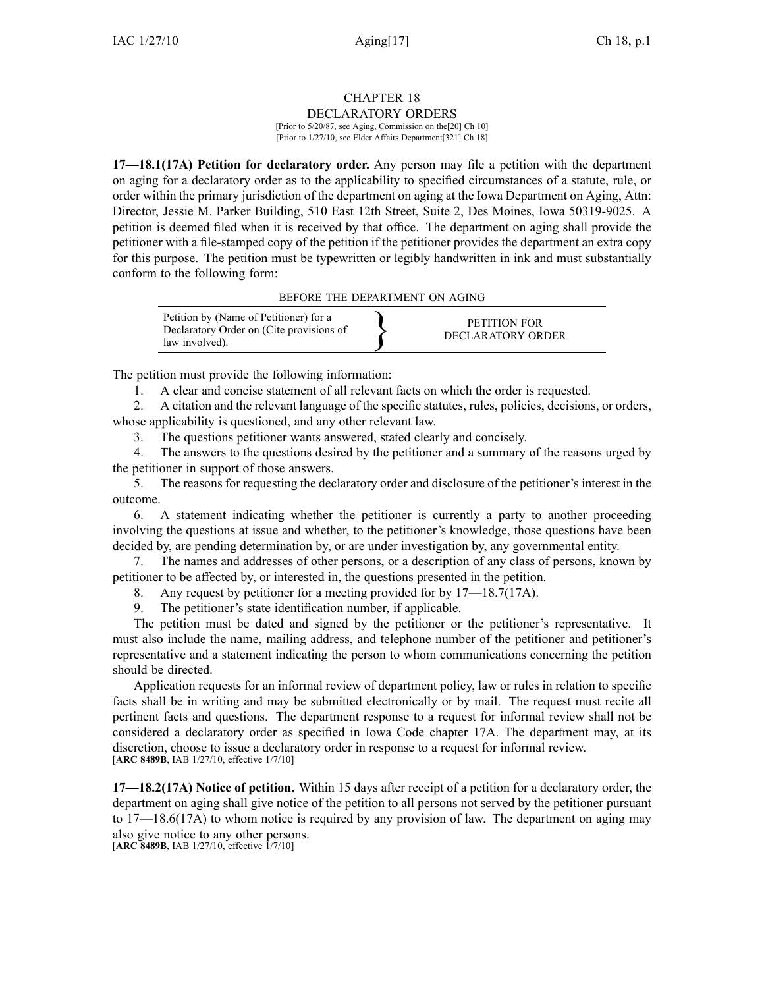# CHAPTER 18

DECLARATORY ORDERS [Prior to 5/20/87, see Aging, Commission on the[20] Ch 10] [Prior to 1/27/10, see Elder Affairs Department[321] Ch 18]

**17—18.1(17A) Petition for declaratory order.** Any person may file <sup>a</sup> petition with the department on aging for <sup>a</sup> declaratory order as to the applicability to specified circumstances of <sup>a</sup> statute, rule, or order within the primary jurisdiction of the department on aging at the Iowa Department on Aging, Attn: Director, Jessie M. Parker Building, 510 East 12th Street, Suite 2, Des Moines, Iowa 50319-9025. A petition is deemed filed when it is received by that office. The department on aging shall provide the petitioner with <sup>a</sup> file-stamped copy of the petition if the petitioner provides the department an extra copy for this purpose. The petition must be typewritten or legibly handwritten in ink and must substantially conform to the following form:

BEFORE THE DEPARTMENT ON AGING



The petition must provide the following information:

1. A clear and concise statement of all relevant facts on which the order is requested.

2. A citation and the relevant language of the specific statutes, rules, policies, decisions, or orders, whose applicability is questioned, and any other relevant law.

3. The questions petitioner wants answered, stated clearly and concisely.

4. The answers to the questions desired by the petitioner and <sup>a</sup> summary of the reasons urged by the petitioner in suppor<sup>t</sup> of those answers.

5. The reasons for requesting the declaratory order and disclosure of the petitioner's interest in the outcome.

6. A statement indicating whether the petitioner is currently <sup>a</sup> party to another proceeding involving the questions at issue and whether, to the petitioner's knowledge, those questions have been decided by, are pending determination by, or are under investigation by, any governmental entity.

7. The names and addresses of other persons, or <sup>a</sup> description of any class of persons, known by petitioner to be affected by, or interested in, the questions presented in the petition.

8. Any reques<sup>t</sup> by petitioner for <sup>a</sup> meeting provided for by 17—18.7(17A).

9. The petitioner's state identification number, if applicable.

The petition must be dated and signed by the petitioner or the petitioner's representative. It must also include the name, mailing address, and telephone number of the petitioner and petitioner's representative and <sup>a</sup> statement indicating the person to whom communications concerning the petition should be directed.

Application requests for an informal review of department policy, law or rules in relation to specific facts shall be in writing and may be submitted electronically or by mail. The reques<sup>t</sup> must recite all pertinent facts and questions. The department response to <sup>a</sup> reques<sup>t</sup> for informal review shall not be considered <sup>a</sup> declaratory order as specified in Iowa Code chapter 17A. The department may, at its discretion, choose to issue <sup>a</sup> declaratory order in response to <sup>a</sup> reques<sup>t</sup> for informal review. [**ARC 8489B**, IAB 1/27/10, effective 1/7/10]

**17—18.2(17A) Notice of petition.** Within 15 days after receipt of <sup>a</sup> petition for <sup>a</sup> declaratory order, the department on aging shall give notice of the petition to all persons not served by the petitioner pursuan<sup>t</sup> to 17—18.6(17A) to whom notice is required by any provision of law. The department on aging may also give notice to any other persons.

[**ARC 8489B**, IAB 1/27/10, effective 1/7/10]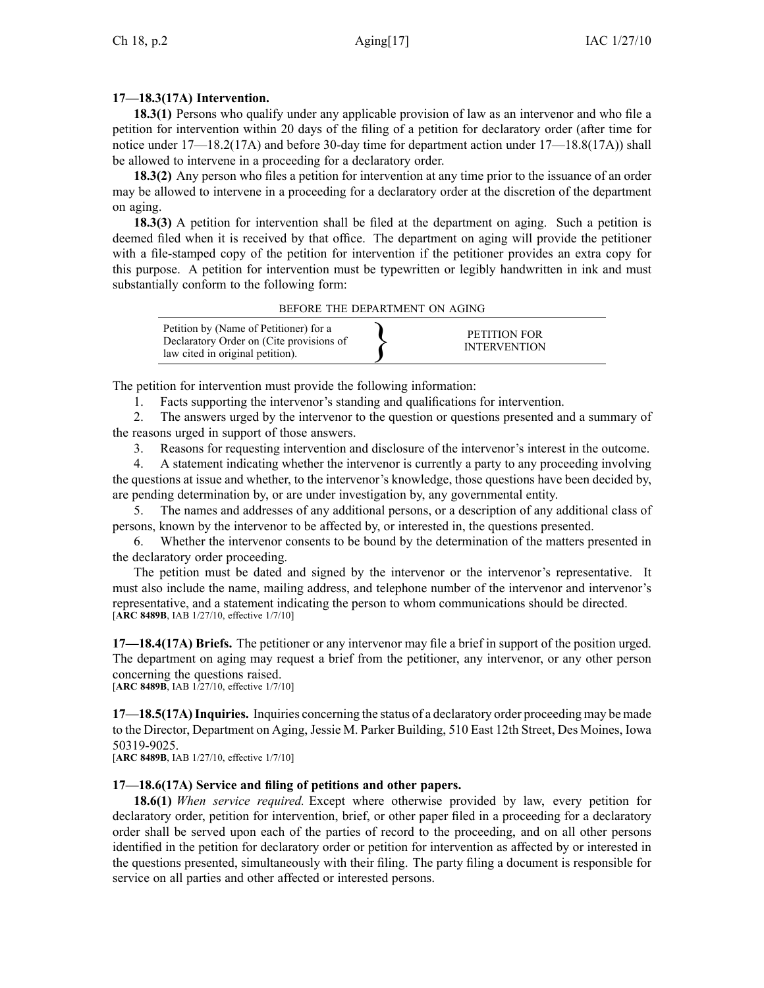## **17—18.3(17A) Intervention.**

**18.3(1)** Persons who qualify under any applicable provision of law as an intervenor and who file <sup>a</sup> petition for intervention within 20 days of the filing of <sup>a</sup> petition for declaratory order (after time for notice under 17—18.2(17A) and before 30-day time for department action under 17—18.8(17A)) shall be allowed to intervene in <sup>a</sup> proceeding for <sup>a</sup> declaratory order.

**18.3(2)** Any person who files <sup>a</sup> petition for intervention at any time prior to the issuance of an order may be allowed to intervene in <sup>a</sup> proceeding for <sup>a</sup> declaratory order at the discretion of the department on aging.

**18.3(3)** A petition for intervention shall be filed at the department on aging. Such <sup>a</sup> petition is deemed filed when it is received by that office. The department on aging will provide the petitioner with <sup>a</sup> file-stamped copy of the petition for intervention if the petitioner provides an extra copy for this purpose. A petition for intervention must be typewritten or legibly handwritten in ink and must substantially conform to the following form:

#### BEFORE THE DEPARTMENT ON AGING

| Petition by (Name of Petitioner) for a<br>Declaratory Order on (Cite provisions of<br>law cited in original petition). |  | PETITION FOR<br><b>INTERVENTION</b> |  |
|------------------------------------------------------------------------------------------------------------------------|--|-------------------------------------|--|
|------------------------------------------------------------------------------------------------------------------------|--|-------------------------------------|--|

The petition for intervention must provide the following information:

1. Facts supporting the intervenor's standing and qualifications for intervention.

2. The answers urged by the intervenor to the question or questions presented and <sup>a</sup> summary of the reasons urged in suppor<sup>t</sup> of those answers.

3. Reasons for requesting intervention and disclosure of the intervenor's interest in the outcome.

4. A statement indicating whether the intervenor is currently <sup>a</sup> party to any proceeding involving the questions at issue and whether, to the intervenor's knowledge, those questions have been decided by, are pending determination by, or are under investigation by, any governmental entity.

5. The names and addresses of any additional persons, or <sup>a</sup> description of any additional class of persons, known by the intervenor to be affected by, or interested in, the questions presented.

6. Whether the intervenor consents to be bound by the determination of the matters presented in the declaratory order proceeding.

The petition must be dated and signed by the intervenor or the intervenor's representative. It must also include the name, mailing address, and telephone number of the intervenor and intervenor's representative, and <sup>a</sup> statement indicating the person to whom communications should be directed. [**ARC 8489B**, IAB 1/27/10, effective 1/7/10]

**17—18.4(17A) Briefs.** The petitioner or any intervenor may file <sup>a</sup> brief in suppor<sup>t</sup> of the position urged. The department on aging may reques<sup>t</sup> <sup>a</sup> brief from the petitioner, any intervenor, or any other person concerning the questions raised.

[**ARC 8489B**, IAB 1/27/10, effective 1/7/10]

**17—18.5(17A)Inquiries.** Inquiries concerning the status of <sup>a</sup> declaratory order proceeding may be made to the Director, Department on Aging, Jessie M. Parker Building, 510 East 12th Street, Des Moines, Iowa 50319-9025.

[**ARC 8489B**, IAB 1/27/10, effective 1/7/10]

### **17—18.6(17A) Service and filing of petitions and other papers.**

**18.6(1)** *When service required.* Except where otherwise provided by law, every petition for declaratory order, petition for intervention, brief, or other paper filed in <sup>a</sup> proceeding for <sup>a</sup> declaratory order shall be served upon each of the parties of record to the proceeding, and on all other persons identified in the petition for declaratory order or petition for intervention as affected by or interested in the questions presented, simultaneously with their filing. The party filing <sup>a</sup> document is responsible for service on all parties and other affected or interested persons.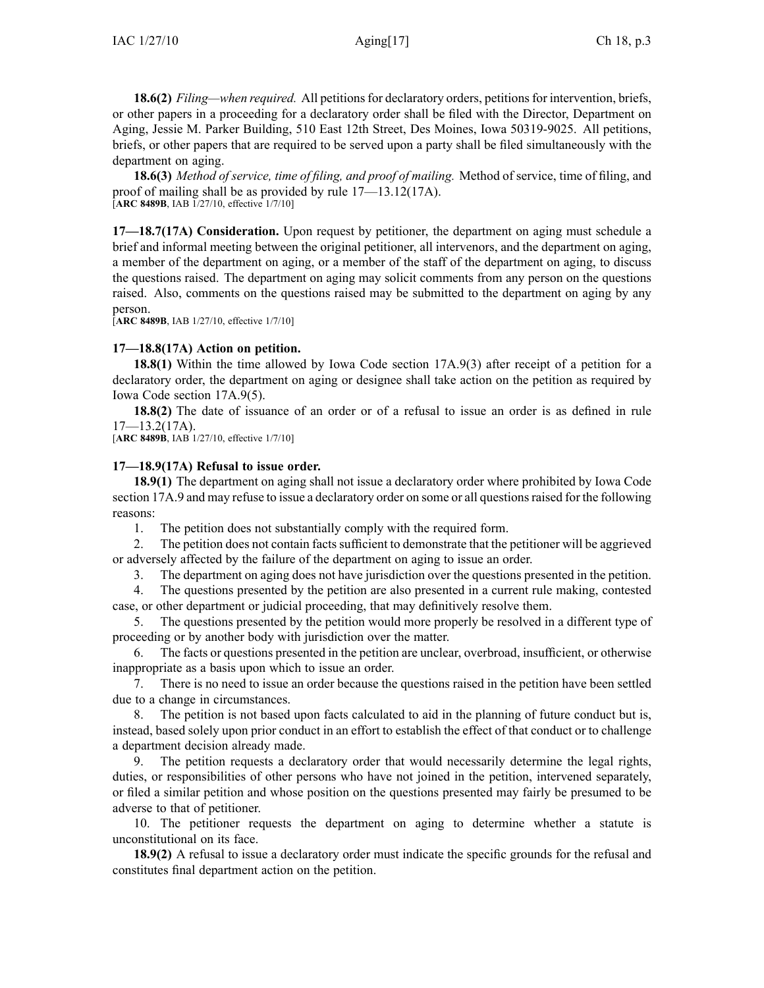**18.6(2)** *Filing—when required.* All petitionsfor declaratory orders, petitionsfor intervention, briefs, or other papers in <sup>a</sup> proceeding for <sup>a</sup> declaratory order shall be filed with the Director, Department on Aging, Jessie M. Parker Building, 510 East 12th Street, Des Moines, Iowa 50319-9025. All petitions, briefs, or other papers that are required to be served upon <sup>a</sup> party shall be filed simultaneously with the department on aging.

**18.6(3)** *Method of service, time of filing, and proof of mailing.* Method of service, time of filing, and proof of mailing shall be as provided by rule 17—13.12(17A). [**ARC 8489B**, IAB 1/27/10, effective 1/7/10]

**17—18.7(17A) Consideration.** Upon reques<sup>t</sup> by petitioner, the department on aging must schedule <sup>a</sup> brief and informal meeting between the original petitioner, all intervenors, and the department on aging, <sup>a</sup> member of the department on aging, or <sup>a</sup> member of the staff of the department on aging, to discuss the questions raised. The department on aging may solicit comments from any person on the questions raised. Also, comments on the questions raised may be submitted to the department on aging by any person.

[**ARC 8489B**, IAB 1/27/10, effective 1/7/10]

### **17—18.8(17A) Action on petition.**

**18.8(1)** Within the time allowed by Iowa Code section 17A.9(3) after receipt of a petition for a declaratory order, the department on aging or designee shall take action on the petition as required by Iowa Code section 17A.9(5).

**18.8(2)** The date of issuance of an order or of <sup>a</sup> refusal to issue an order is as defined in rule  $17 - 13.2(17A)$ .

[**ARC 8489B**, IAB 1/27/10, effective 1/7/10]

#### **17—18.9(17A) Refusal to issue order.**

**18.9(1)** The department on aging shall not issue <sup>a</sup> declaratory order where prohibited by Iowa Code section 17A.9 and may refuse to issue a declaratory order on some or all questions raised for the following reasons:

1. The petition does not substantially comply with the required form.

2. The petition does not contain factssufficient to demonstrate that the petitioner will be aggrieved or adversely affected by the failure of the department on aging to issue an order.

3. The department on aging does not have jurisdiction over the questions presented in the petition.

4. The questions presented by the petition are also presented in <sup>a</sup> current rule making, contested case, or other department or judicial proceeding, that may definitively resolve them.

5. The questions presented by the petition would more properly be resolved in <sup>a</sup> different type of proceeding or by another body with jurisdiction over the matter.

6. The facts or questions presented in the petition are unclear, overbroad, insufficient, or otherwise inappropriate as <sup>a</sup> basis upon which to issue an order.

7. There is no need to issue an order because the questions raised in the petition have been settled due to <sup>a</sup> change in circumstances.

8. The petition is not based upon facts calculated to aid in the planning of future conduct but is, instead, based solely upon prior conduct in an effort to establish the effect of that conduct or to challenge <sup>a</sup> department decision already made.

9. The petition requests <sup>a</sup> declaratory order that would necessarily determine the legal rights, duties, or responsibilities of other persons who have not joined in the petition, intervened separately, or filed <sup>a</sup> similar petition and whose position on the questions presented may fairly be presumed to be adverse to that of petitioner.

10. The petitioner requests the department on aging to determine whether <sup>a</sup> statute is unconstitutional on its face.

**18.9(2)** A refusal to issue <sup>a</sup> declaratory order must indicate the specific grounds for the refusal and constitutes final department action on the petition.